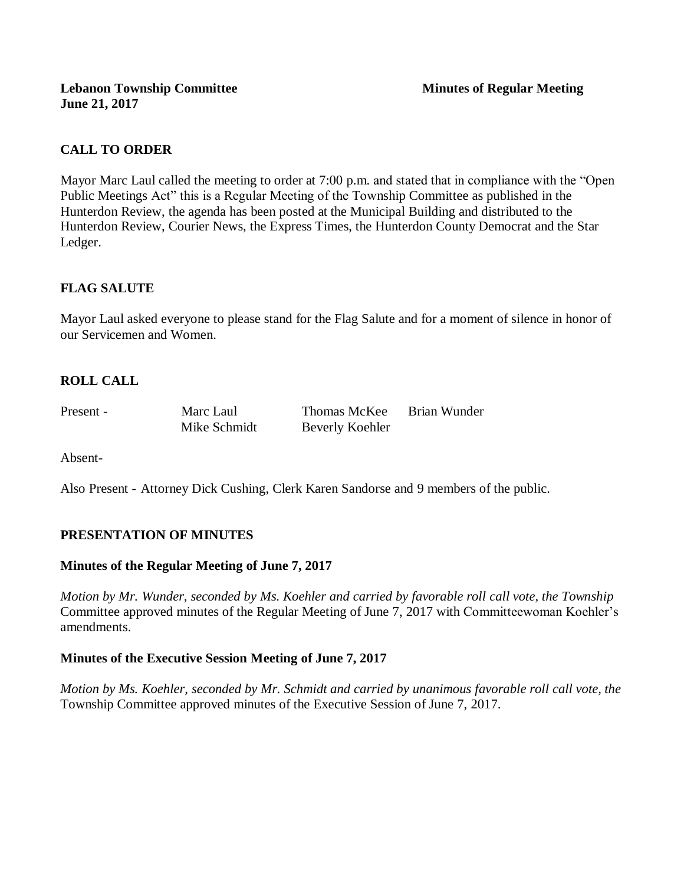# **CALL TO ORDER**

Mayor Marc Laul called the meeting to order at 7:00 p.m. and stated that in compliance with the "Open Public Meetings Act" this is a Regular Meeting of the Township Committee as published in the Hunterdon Review, the agenda has been posted at the Municipal Building and distributed to the Hunterdon Review, Courier News, the Express Times, the Hunterdon County Democrat and the Star Ledger.

## **FLAG SALUTE**

Mayor Laul asked everyone to please stand for the Flag Salute and for a moment of silence in honor of our Servicemen and Women.

## **ROLL CALL**

Present - Marc Laul Thomas McKee Brian Wunder Mike Schmidt Beverly Koehler

Absent-

Also Present - Attorney Dick Cushing, Clerk Karen Sandorse and 9 members of the public.

## **PRESENTATION OF MINUTES**

## **Minutes of the Regular Meeting of June 7, 2017**

*Motion by Mr. Wunder, seconded by Ms. Koehler and carried by favorable roll call vote, the Township* Committee approved minutes of the Regular Meeting of June 7, 2017 with Committeewoman Koehler's amendments.

#### **Minutes of the Executive Session Meeting of June 7, 2017**

*Motion by Ms. Koehler, seconded by Mr. Schmidt and carried by unanimous favorable roll call vote, the*  Township Committee approved minutes of the Executive Session of June 7, 2017.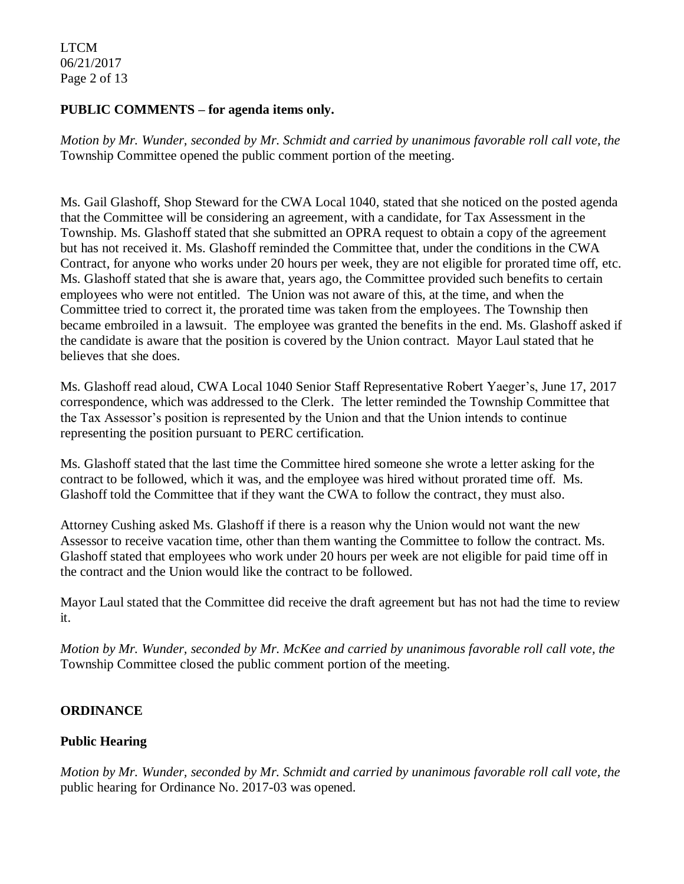LTCM 06/21/2017 Page 2 of 13

### **PUBLIC COMMENTS – for agenda items only.**

*Motion by Mr. Wunder, seconded by Mr. Schmidt and carried by unanimous favorable roll call vote, the* Township Committee opened the public comment portion of the meeting.

Ms. Gail Glashoff, Shop Steward for the CWA Local 1040, stated that she noticed on the posted agenda that the Committee will be considering an agreement, with a candidate, for Tax Assessment in the Township. Ms. Glashoff stated that she submitted an OPRA request to obtain a copy of the agreement but has not received it. Ms. Glashoff reminded the Committee that, under the conditions in the CWA Contract, for anyone who works under 20 hours per week, they are not eligible for prorated time off, etc. Ms. Glashoff stated that she is aware that, years ago, the Committee provided such benefits to certain employees who were not entitled. The Union was not aware of this, at the time, and when the Committee tried to correct it, the prorated time was taken from the employees. The Township then became embroiled in a lawsuit. The employee was granted the benefits in the end. Ms. Glashoff asked if the candidate is aware that the position is covered by the Union contract. Mayor Laul stated that he believes that she does.

Ms. Glashoff read aloud, CWA Local 1040 Senior Staff Representative Robert Yaeger's, June 17, 2017 correspondence, which was addressed to the Clerk. The letter reminded the Township Committee that the Tax Assessor's position is represented by the Union and that the Union intends to continue representing the position pursuant to PERC certification.

Ms. Glashoff stated that the last time the Committee hired someone she wrote a letter asking for the contract to be followed, which it was, and the employee was hired without prorated time off. Ms. Glashoff told the Committee that if they want the CWA to follow the contract, they must also.

Attorney Cushing asked Ms. Glashoff if there is a reason why the Union would not want the new Assessor to receive vacation time, other than them wanting the Committee to follow the contract. Ms. Glashoff stated that employees who work under 20 hours per week are not eligible for paid time off in the contract and the Union would like the contract to be followed.

Mayor Laul stated that the Committee did receive the draft agreement but has not had the time to review it.

*Motion by Mr. Wunder, seconded by Mr. McKee and carried by unanimous favorable roll call vote, the* Township Committee closed the public comment portion of the meeting.

## **ORDINANCE**

## **Public Hearing**

*Motion by Mr. Wunder, seconded by Mr. Schmidt and carried by unanimous favorable roll call vote, the* public hearing for Ordinance No. 2017-03 was opened.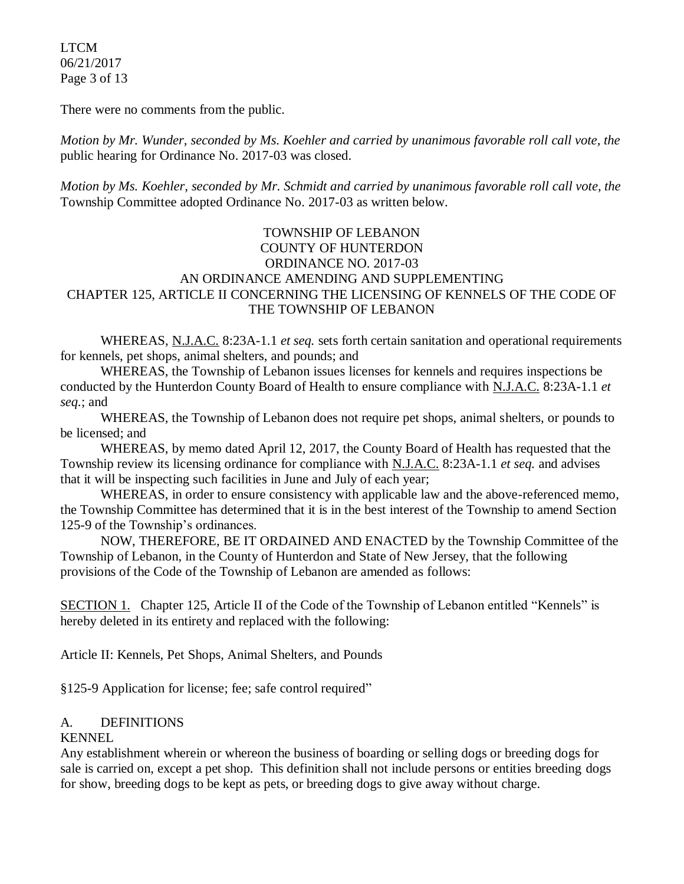LTCM 06/21/2017 Page 3 of 13

There were no comments from the public*.*

*Motion by Mr. Wunder, seconded by Ms. Koehler and carried by unanimous favorable roll call vote, the* public hearing for Ordinance No. 2017-03 was closed.

*Motion by Ms. Koehler, seconded by Mr. Schmidt and carried by unanimous favorable roll call vote, the* Township Committee adopted Ordinance No. 2017-03 as written below.

### TOWNSHIP OF LEBANON COUNTY OF HUNTERDON ORDINANCE NO. 2017-03 AN ORDINANCE AMENDING AND SUPPLEMENTING CHAPTER 125, ARTICLE II CONCERNING THE LICENSING OF KENNELS OF THE CODE OF THE TOWNSHIP OF LEBANON

WHEREAS, N.J.A.C. 8:23A-1.1 *et seq.* sets forth certain sanitation and operational requirements for kennels, pet shops, animal shelters, and pounds; and

WHEREAS, the Township of Lebanon issues licenses for kennels and requires inspections be conducted by the Hunterdon County Board of Health to ensure compliance with N.J.A.C. 8:23A-1.1 *et seq.*; and

WHEREAS, the Township of Lebanon does not require pet shops, animal shelters, or pounds to be licensed; and

WHEREAS, by memo dated April 12, 2017, the County Board of Health has requested that the Township review its licensing ordinance for compliance with N.J.A.C. 8:23A-1.1 *et seq.* and advises that it will be inspecting such facilities in June and July of each year;

WHEREAS, in order to ensure consistency with applicable law and the above-referenced memo, the Township Committee has determined that it is in the best interest of the Township to amend Section 125-9 of the Township's ordinances.

NOW, THEREFORE, BE IT ORDAINED AND ENACTED by the Township Committee of the Township of Lebanon, in the County of Hunterdon and State of New Jersey, that the following provisions of the Code of the Township of Lebanon are amended as follows:

SECTION 1. Chapter 125, Article II of the Code of the Township of Lebanon entitled "Kennels" is hereby deleted in its entirety and replaced with the following:

Article II: Kennels, Pet Shops, Animal Shelters, and Pounds

§125-9 Application for license; fee; safe control required"

## A. DEFINITIONS

#### KENNEL

Any establishment wherein or whereon the business of boarding or selling dogs or breeding dogs for sale is carried on, except a pet shop. This definition shall not include persons or entities breeding dogs for show, breeding dogs to be kept as pets, or breeding dogs to give away without charge.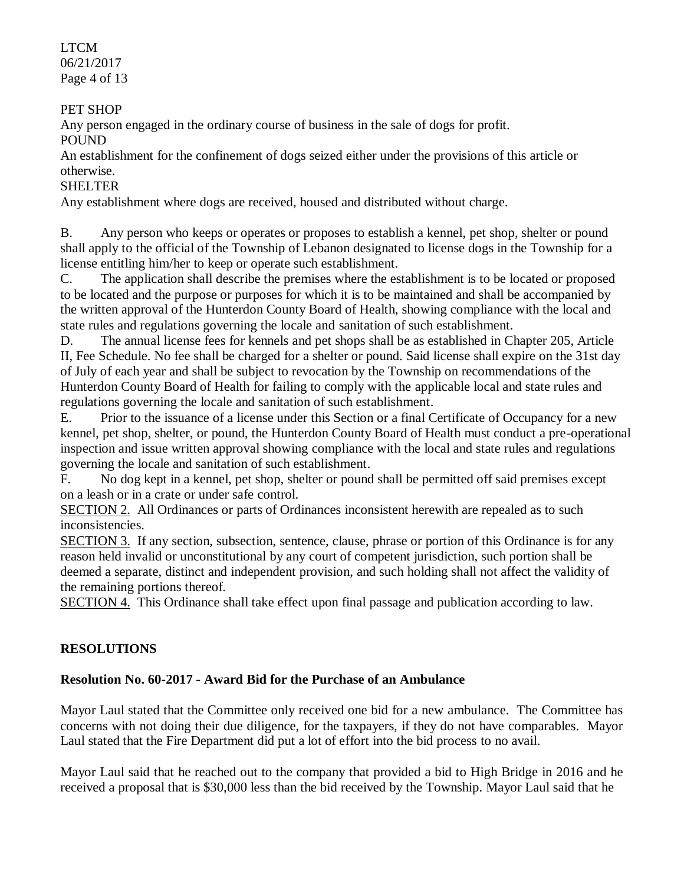LTCM 06/21/2017 Page 4 of 13

## PET SHOP

Any person engaged in the ordinary course of business in the sale of dogs for profit.

POUND

An establishment for the confinement of dogs seized either under the provisions of this article or otherwise.

# SHELTER

Any establishment where dogs are received, housed and distributed without charge.

B. Any person who keeps or operates or proposes to establish a kennel, pet shop, shelter or pound shall apply to the official of the Township of Lebanon designated to license dogs in the Township for a license entitling him/her to keep or operate such establishment.

C. The application shall describe the premises where the establishment is to be located or proposed to be located and the purpose or purposes for which it is to be maintained and shall be accompanied by the written approval of the Hunterdon County Board of Health, showing compliance with the local and state rules and regulations governing the locale and sanitation of such establishment.

D. The annual license fees for kennels and pet shops shall be as established in Chapter 205, Article II, Fee Schedule. No fee shall be charged for a shelter or pound. Said license shall expire on the 31st day of July of each year and shall be subject to revocation by the Township on recommendations of the Hunterdon County Board of Health for failing to comply with the applicable local and state rules and regulations governing the locale and sanitation of such establishment.

E. Prior to the issuance of a license under this Section or a final Certificate of Occupancy for a new kennel, pet shop, shelter, or pound, the Hunterdon County Board of Health must conduct a pre-operational inspection and issue written approval showing compliance with the local and state rules and regulations governing the locale and sanitation of such establishment.

F. No dog kept in a kennel, pet shop, shelter or pound shall be permitted off said premises except on a leash or in a crate or under safe control.

SECTION 2. All Ordinances or parts of Ordinances inconsistent herewith are repealed as to such inconsistencies.

SECTION 3. If any section, subsection, sentence, clause, phrase or portion of this Ordinance is for any reason held invalid or unconstitutional by any court of competent jurisdiction, such portion shall be deemed a separate, distinct and independent provision, and such holding shall not affect the validity of the remaining portions thereof.

SECTION 4. This Ordinance shall take effect upon final passage and publication according to law.

# **RESOLUTIONS**

# **Resolution No. 60-2017 - Award Bid for the Purchase of an Ambulance**

Mayor Laul stated that the Committee only received one bid for a new ambulance. The Committee has concerns with not doing their due diligence, for the taxpayers, if they do not have comparables. Mayor Laul stated that the Fire Department did put a lot of effort into the bid process to no avail.

Mayor Laul said that he reached out to the company that provided a bid to High Bridge in 2016 and he received a proposal that is \$30,000 less than the bid received by the Township. Mayor Laul said that he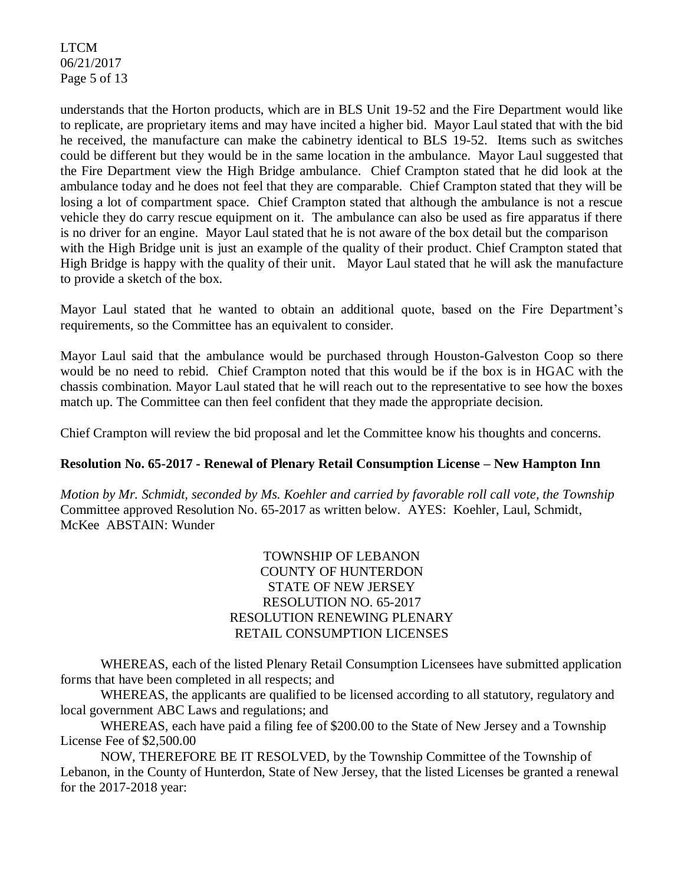LTCM 06/21/2017 Page 5 of 13

understands that the Horton products, which are in BLS Unit 19-52 and the Fire Department would like to replicate, are proprietary items and may have incited a higher bid. Mayor Laul stated that with the bid he received, the manufacture can make the cabinetry identical to BLS 19-52. Items such as switches could be different but they would be in the same location in the ambulance. Mayor Laul suggested that the Fire Department view the High Bridge ambulance. Chief Crampton stated that he did look at the ambulance today and he does not feel that they are comparable. Chief Crampton stated that they will be losing a lot of compartment space. Chief Crampton stated that although the ambulance is not a rescue vehicle they do carry rescue equipment on it. The ambulance can also be used as fire apparatus if there is no driver for an engine. Mayor Laul stated that he is not aware of the box detail but the comparison with the High Bridge unit is just an example of the quality of their product. Chief Crampton stated that High Bridge is happy with the quality of their unit. Mayor Laul stated that he will ask the manufacture to provide a sketch of the box.

Mayor Laul stated that he wanted to obtain an additional quote, based on the Fire Department's requirements, so the Committee has an equivalent to consider.

Mayor Laul said that the ambulance would be purchased through Houston-Galveston Coop so there would be no need to rebid. Chief Crampton noted that this would be if the box is in HGAC with the chassis combination. Mayor Laul stated that he will reach out to the representative to see how the boxes match up. The Committee can then feel confident that they made the appropriate decision.

Chief Crampton will review the bid proposal and let the Committee know his thoughts and concerns.

#### **Resolution No. 65-2017 - Renewal of Plenary Retail Consumption License – New Hampton Inn**

*Motion by Mr. Schmidt, seconded by Ms. Koehler and carried by favorable roll call vote, the Township* Committee approved Resolution No. 65-2017 as written below. AYES: Koehler, Laul, Schmidt, McKee ABSTAIN: Wunder

### TOWNSHIP OF LEBANON COUNTY OF HUNTERDON STATE OF NEW JERSEY RESOLUTION NO. 65-2017 RESOLUTION RENEWING PLENARY RETAIL CONSUMPTION LICENSES

WHEREAS, each of the listed Plenary Retail Consumption Licensees have submitted application forms that have been completed in all respects; and

WHEREAS, the applicants are qualified to be licensed according to all statutory, regulatory and local government ABC Laws and regulations; and

WHEREAS, each have paid a filing fee of \$200.00 to the State of New Jersey and a Township License Fee of \$2,500.00

NOW, THEREFORE BE IT RESOLVED, by the Township Committee of the Township of Lebanon, in the County of Hunterdon, State of New Jersey, that the listed Licenses be granted a renewal for the 2017-2018 year: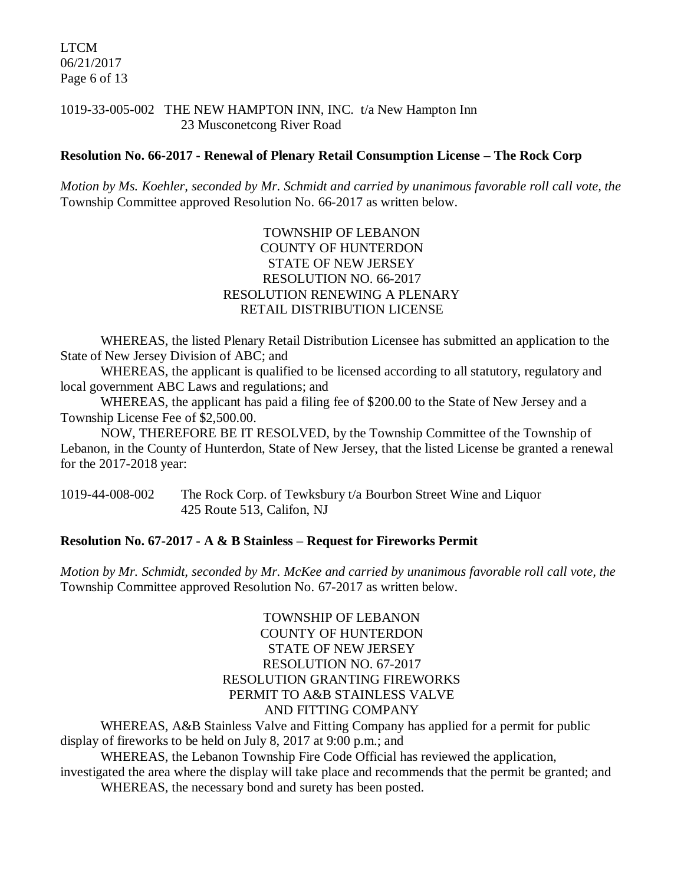LTCM 06/21/2017 Page 6 of 13

#### 1019-33-005-002 THE NEW HAMPTON INN, INC. t/a New Hampton Inn 23 Musconetcong River Road

#### **Resolution No. 66-2017 - Renewal of Plenary Retail Consumption License – The Rock Corp**

*Motion by Ms. Koehler, seconded by Mr. Schmidt and carried by unanimous favorable roll call vote, the* Township Committee approved Resolution No. 66-2017 as written below.

### TOWNSHIP OF LEBANON COUNTY OF HUNTERDON STATE OF NEW JERSEY RESOLUTION NO. 66-2017 RESOLUTION RENEWING A PLENARY RETAIL DISTRIBUTION LICENSE

WHEREAS, the listed Plenary Retail Distribution Licensee has submitted an application to the State of New Jersey Division of ABC; and

WHEREAS, the applicant is qualified to be licensed according to all statutory, regulatory and local government ABC Laws and regulations; and

WHEREAS, the applicant has paid a filing fee of \$200.00 to the State of New Jersey and a Township License Fee of \$2,500.00.

NOW, THEREFORE BE IT RESOLVED, by the Township Committee of the Township of Lebanon, in the County of Hunterdon, State of New Jersey, that the listed License be granted a renewal for the 2017-2018 year:

1019-44-008-002 The Rock Corp. of Tewksbury t/a Bourbon Street Wine and Liquor 425 Route 513, Califon, NJ

#### **Resolution No. 67-2017 - A & B Stainless – Request for Fireworks Permit**

*Motion by Mr. Schmidt, seconded by Mr. McKee and carried by unanimous favorable roll call vote, the* Township Committee approved Resolution No. 67-2017 as written below.

### TOWNSHIP OF LEBANON COUNTY OF HUNTERDON STATE OF NEW JERSEY RESOLUTION NO. 67-2017 RESOLUTION GRANTING FIREWORKS PERMIT TO A&B STAINLESS VALVE AND FITTING COMPANY

WHEREAS, A&B Stainless Valve and Fitting Company has applied for a permit for public display of fireworks to be held on July 8, 2017 at 9:00 p.m.; and

WHEREAS, the Lebanon Township Fire Code Official has reviewed the application,

investigated the area where the display will take place and recommends that the permit be granted; and WHEREAS, the necessary bond and surety has been posted.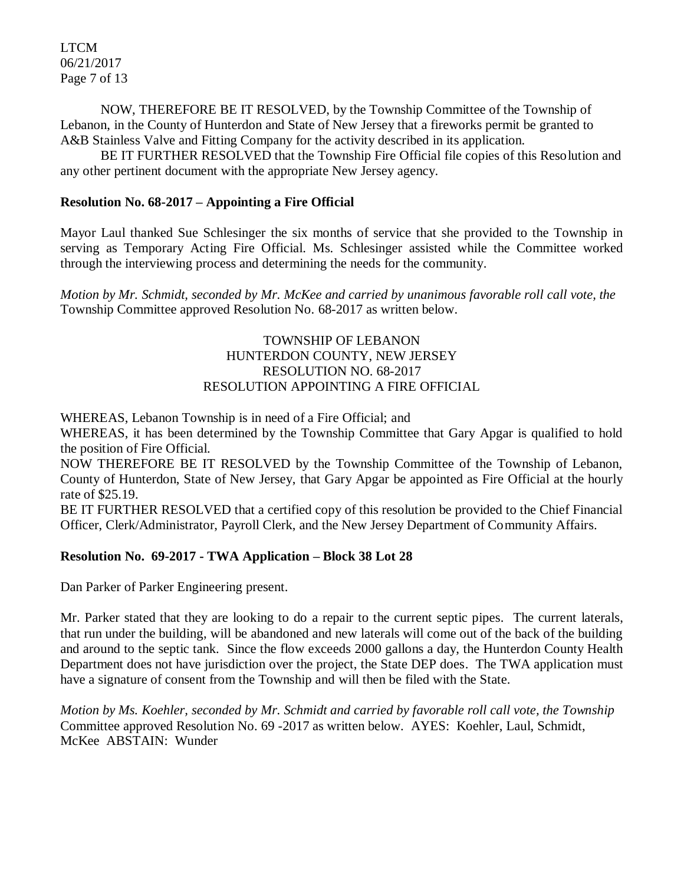LTCM 06/21/2017 Page 7 of 13

NOW, THEREFORE BE IT RESOLVED, by the Township Committee of the Township of Lebanon, in the County of Hunterdon and State of New Jersey that a fireworks permit be granted to A&B Stainless Valve and Fitting Company for the activity described in its application.

BE IT FURTHER RESOLVED that the Township Fire Official file copies of this Resolution and any other pertinent document with the appropriate New Jersey agency.

### **Resolution No. 68-2017 – Appointing a Fire Official**

Mayor Laul thanked Sue Schlesinger the six months of service that she provided to the Township in serving as Temporary Acting Fire Official. Ms. Schlesinger assisted while the Committee worked through the interviewing process and determining the needs for the community.

*Motion by Mr. Schmidt, seconded by Mr. McKee and carried by unanimous favorable roll call vote, the* Township Committee approved Resolution No. 68-2017 as written below.

### TOWNSHIP OF LEBANON HUNTERDON COUNTY, NEW JERSEY RESOLUTION NO. 68-2017 RESOLUTION APPOINTING A FIRE OFFICIAL

WHEREAS, Lebanon Township is in need of a Fire Official; and

WHEREAS, it has been determined by the Township Committee that Gary Apgar is qualified to hold the position of Fire Official.

NOW THEREFORE BE IT RESOLVED by the Township Committee of the Township of Lebanon, County of Hunterdon, State of New Jersey, that Gary Apgar be appointed as Fire Official at the hourly rate of \$25.19.

BE IT FURTHER RESOLVED that a certified copy of this resolution be provided to the Chief Financial Officer, Clerk/Administrator, Payroll Clerk, and the New Jersey Department of Community Affairs.

#### **Resolution No. 69-2017 - TWA Application – Block 38 Lot 28**

Dan Parker of Parker Engineering present.

Mr. Parker stated that they are looking to do a repair to the current septic pipes. The current laterals, that run under the building, will be abandoned and new laterals will come out of the back of the building and around to the septic tank. Since the flow exceeds 2000 gallons a day, the Hunterdon County Health Department does not have jurisdiction over the project, the State DEP does. The TWA application must have a signature of consent from the Township and will then be filed with the State.

*Motion by Ms. Koehler, seconded by Mr. Schmidt and carried by favorable roll call vote, the Township* Committee approved Resolution No. 69 -2017 as written below. AYES: Koehler, Laul, Schmidt, McKee ABSTAIN: Wunder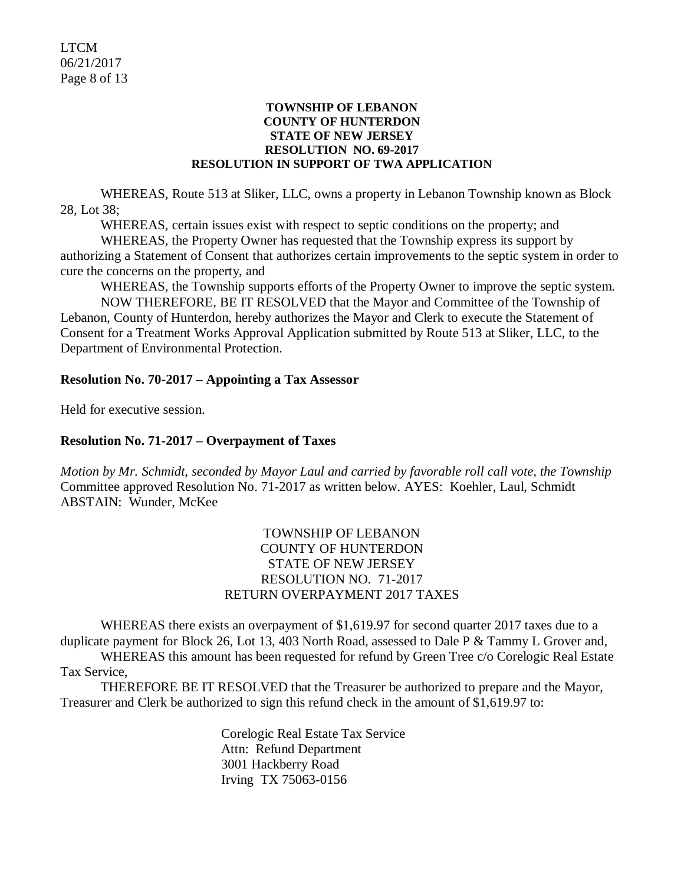#### **TOWNSHIP OF LEBANON COUNTY OF HUNTERDON STATE OF NEW JERSEY RESOLUTION NO. 69-2017 RESOLUTION IN SUPPORT OF TWA APPLICATION**

WHEREAS, Route 513 at Sliker, LLC, owns a property in Lebanon Township known as Block 28, Lot 38;

WHEREAS, certain issues exist with respect to septic conditions on the property; and

WHEREAS, the Property Owner has requested that the Township express its support by authorizing a Statement of Consent that authorizes certain improvements to the septic system in order to cure the concerns on the property, and

WHEREAS, the Township supports efforts of the Property Owner to improve the septic system.

NOW THEREFORE, BE IT RESOLVED that the Mayor and Committee of the Township of Lebanon, County of Hunterdon, hereby authorizes the Mayor and Clerk to execute the Statement of Consent for a Treatment Works Approval Application submitted by Route 513 at Sliker, LLC, to the Department of Environmental Protection.

### **Resolution No. 70-2017 – Appointing a Tax Assessor**

Held for executive session.

#### **Resolution No. 71-2017 – Overpayment of Taxes**

*Motion by Mr. Schmidt, seconded by Mayor Laul and carried by favorable roll call vote, the Township* Committee approved Resolution No. 71-2017 as written below. AYES: Koehler, Laul, Schmidt ABSTAIN: Wunder, McKee

### TOWNSHIP OF LEBANON COUNTY OF HUNTERDON STATE OF NEW JERSEY RESOLUTION NO. 71-2017 RETURN OVERPAYMENT 2017 TAXES

WHEREAS there exists an overpayment of \$1,619.97 for second quarter 2017 taxes due to a duplicate payment for Block 26, Lot 13, 403 North Road, assessed to Dale P & Tammy L Grover and, WHEREAS this amount has been requested for refund by Green Tree c/o Corelogic Real Estate

Tax Service,

THEREFORE BE IT RESOLVED that the Treasurer be authorized to prepare and the Mayor, Treasurer and Clerk be authorized to sign this refund check in the amount of \$1,619.97 to:

> Corelogic Real Estate Tax Service Attn: Refund Department 3001 Hackberry Road Irving TX 75063-0156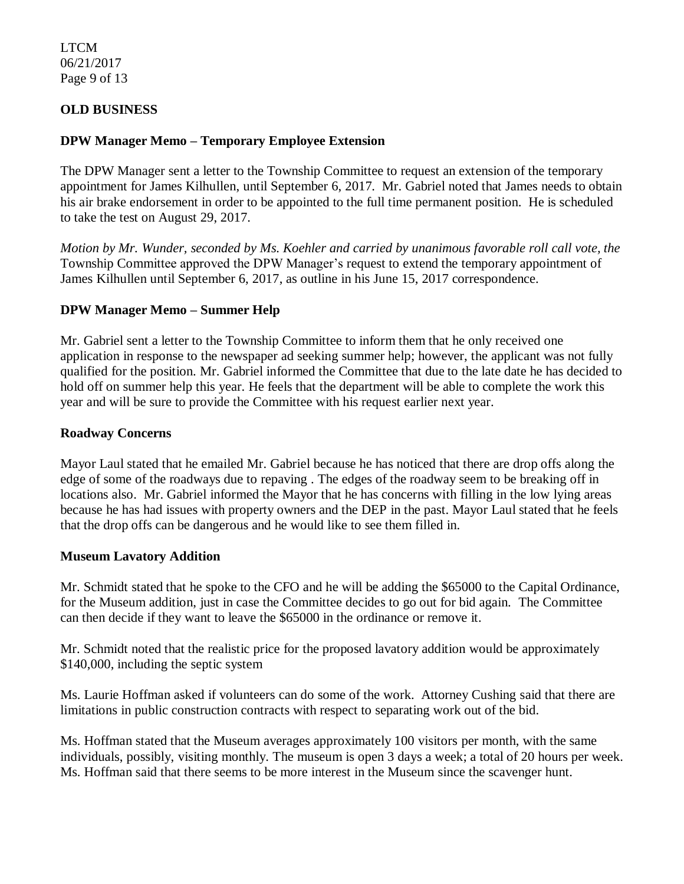LTCM 06/21/2017 Page 9 of 13

### **OLD BUSINESS**

### **DPW Manager Memo – Temporary Employee Extension**

The DPW Manager sent a letter to the Township Committee to request an extension of the temporary appointment for James Kilhullen, until September 6, 2017. Mr. Gabriel noted that James needs to obtain his air brake endorsement in order to be appointed to the full time permanent position. He is scheduled to take the test on August 29, 2017.

*Motion by Mr. Wunder, seconded by Ms. Koehler and carried by unanimous favorable roll call vote, the* Township Committee approved the DPW Manager's request to extend the temporary appointment of James Kilhullen until September 6, 2017, as outline in his June 15, 2017 correspondence.

#### **DPW Manager Memo – Summer Help**

Mr. Gabriel sent a letter to the Township Committee to inform them that he only received one application in response to the newspaper ad seeking summer help; however, the applicant was not fully qualified for the position. Mr. Gabriel informed the Committee that due to the late date he has decided to hold off on summer help this year. He feels that the department will be able to complete the work this year and will be sure to provide the Committee with his request earlier next year.

#### **Roadway Concerns**

Mayor Laul stated that he emailed Mr. Gabriel because he has noticed that there are drop offs along the edge of some of the roadways due to repaving . The edges of the roadway seem to be breaking off in locations also. Mr. Gabriel informed the Mayor that he has concerns with filling in the low lying areas because he has had issues with property owners and the DEP in the past. Mayor Laul stated that he feels that the drop offs can be dangerous and he would like to see them filled in.

#### **Museum Lavatory Addition**

Mr. Schmidt stated that he spoke to the CFO and he will be adding the \$65000 to the Capital Ordinance, for the Museum addition, just in case the Committee decides to go out for bid again. The Committee can then decide if they want to leave the \$65000 in the ordinance or remove it.

Mr. Schmidt noted that the realistic price for the proposed lavatory addition would be approximately \$140,000, including the septic system

Ms. Laurie Hoffman asked if volunteers can do some of the work. Attorney Cushing said that there are limitations in public construction contracts with respect to separating work out of the bid.

Ms. Hoffman stated that the Museum averages approximately 100 visitors per month, with the same individuals, possibly, visiting monthly. The museum is open 3 days a week; a total of 20 hours per week. Ms. Hoffman said that there seems to be more interest in the Museum since the scavenger hunt.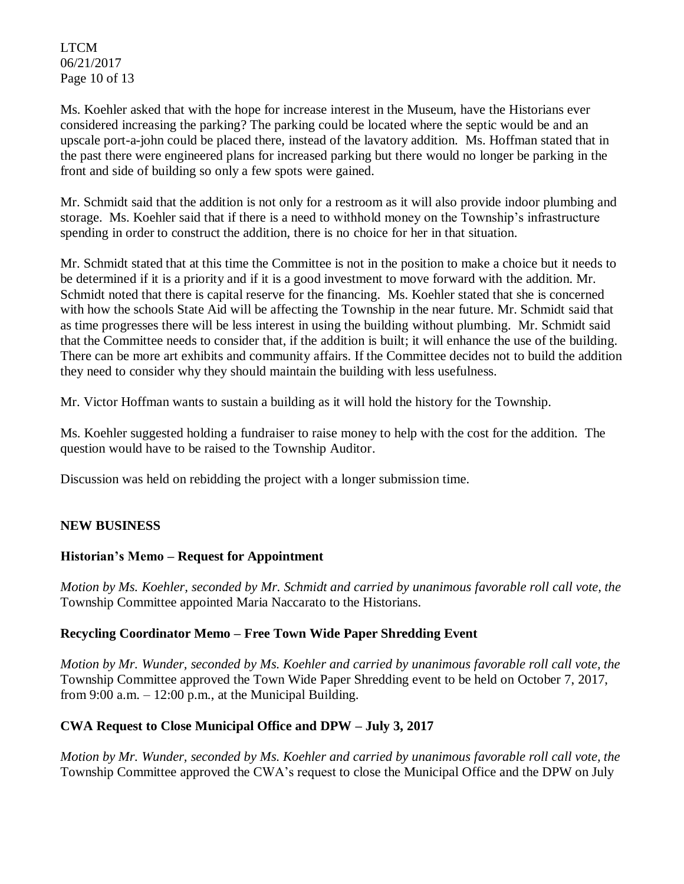LTCM 06/21/2017 Page 10 of 13

Ms. Koehler asked that with the hope for increase interest in the Museum, have the Historians ever considered increasing the parking? The parking could be located where the septic would be and an upscale port-a-john could be placed there, instead of the lavatory addition. Ms. Hoffman stated that in the past there were engineered plans for increased parking but there would no longer be parking in the front and side of building so only a few spots were gained.

Mr. Schmidt said that the addition is not only for a restroom as it will also provide indoor plumbing and storage. Ms. Koehler said that if there is a need to withhold money on the Township's infrastructure spending in order to construct the addition, there is no choice for her in that situation.

Mr. Schmidt stated that at this time the Committee is not in the position to make a choice but it needs to be determined if it is a priority and if it is a good investment to move forward with the addition. Mr. Schmidt noted that there is capital reserve for the financing. Ms. Koehler stated that she is concerned with how the schools State Aid will be affecting the Township in the near future. Mr. Schmidt said that as time progresses there will be less interest in using the building without plumbing. Mr. Schmidt said that the Committee needs to consider that, if the addition is built; it will enhance the use of the building. There can be more art exhibits and community affairs. If the Committee decides not to build the addition they need to consider why they should maintain the building with less usefulness.

Mr. Victor Hoffman wants to sustain a building as it will hold the history for the Township.

Ms. Koehler suggested holding a fundraiser to raise money to help with the cost for the addition. The question would have to be raised to the Township Auditor.

Discussion was held on rebidding the project with a longer submission time.

## **NEW BUSINESS**

## **Historian's Memo – Request for Appointment**

*Motion by Ms. Koehler, seconded by Mr. Schmidt and carried by unanimous favorable roll call vote, the* Township Committee appointed Maria Naccarato to the Historians.

## **Recycling Coordinator Memo – Free Town Wide Paper Shredding Event**

*Motion by Mr. Wunder, seconded by Ms. Koehler and carried by unanimous favorable roll call vote, the* Township Committee approved the Town Wide Paper Shredding event to be held on October 7, 2017, from 9:00 a.m.  $-12:00$  p.m., at the Municipal Building.

## **CWA Request to Close Municipal Office and DPW – July 3, 2017**

*Motion by Mr. Wunder, seconded by Ms. Koehler and carried by unanimous favorable roll call vote, the* Township Committee approved the CWA's request to close the Municipal Office and the DPW on July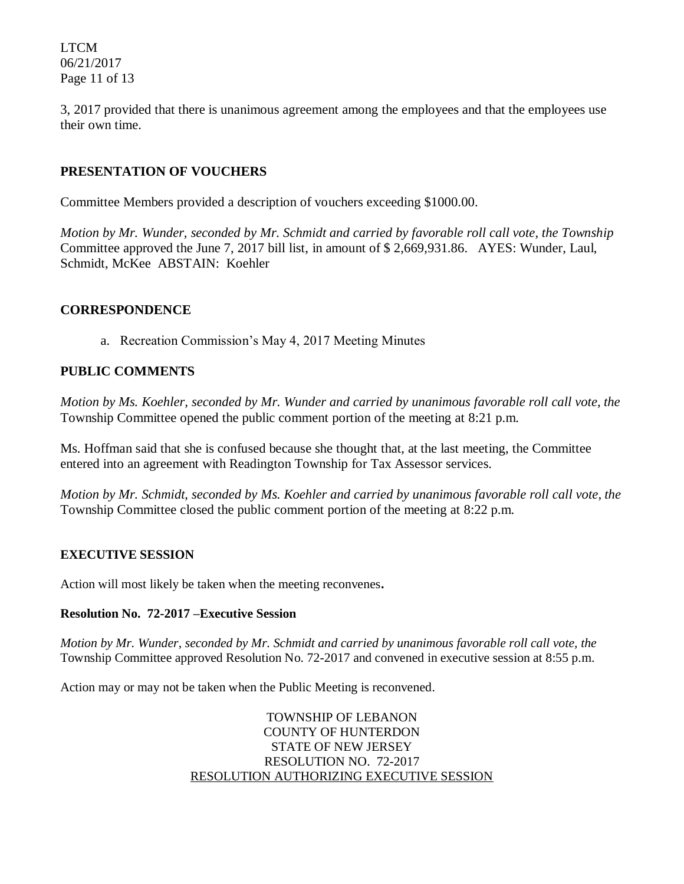LTCM 06/21/2017 Page 11 of 13

3, 2017 provided that there is unanimous agreement among the employees and that the employees use their own time.

## **PRESENTATION OF VOUCHERS**

Committee Members provided a description of vouchers exceeding \$1000.00.

*Motion by Mr. Wunder, seconded by Mr. Schmidt and carried by favorable roll call vote, the Township* Committee approved the June 7, 2017 bill list, in amount of \$ 2,669,931.86. AYES: Wunder, Laul, Schmidt, McKee ABSTAIN: Koehler

#### **CORRESPONDENCE**

a. Recreation Commission's May 4, 2017 Meeting Minutes

### **PUBLIC COMMENTS**

*Motion by Ms. Koehler, seconded by Mr. Wunder and carried by unanimous favorable roll call vote, the* Township Committee opened the public comment portion of the meeting at 8:21 p.m.

Ms. Hoffman said that she is confused because she thought that, at the last meeting, the Committee entered into an agreement with Readington Township for Tax Assessor services.

*Motion by Mr. Schmidt, seconded by Ms. Koehler and carried by unanimous favorable roll call vote, the* Township Committee closed the public comment portion of the meeting at 8:22 p.m.

#### **EXECUTIVE SESSION**

Action will most likely be taken when the meeting reconvenes**.** 

#### **Resolution No. 72-2017 –Executive Session**

*Motion by Mr. Wunder, seconded by Mr. Schmidt and carried by unanimous favorable roll call vote, the* Township Committee approved Resolution No. 72-2017 and convened in executive session at 8:55 p.m.

Action may or may not be taken when the Public Meeting is reconvened.

TOWNSHIP OF LEBANON COUNTY OF HUNTERDON STATE OF NEW JERSEY RESOLUTION NO. 72-2017 RESOLUTION AUTHORIZING EXECUTIVE SESSION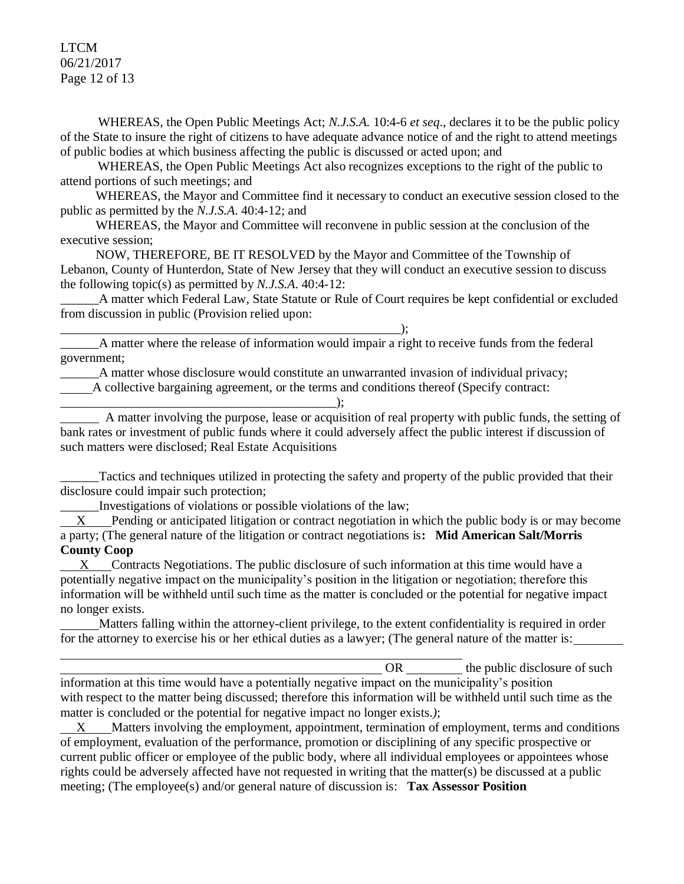#### LTCM 06/21/2017 Page 12 of 13

WHEREAS, the Open Public Meetings Act; *N.J.S.A.* 10:4-6 *et seq*., declares it to be the public policy of the State to insure the right of citizens to have adequate advance notice of and the right to attend meetings of public bodies at which business affecting the public is discussed or acted upon; and

WHEREAS, the Open Public Meetings Act also recognizes exceptions to the right of the public to attend portions of such meetings; and

 WHEREAS, the Mayor and Committee find it necessary to conduct an executive session closed to the public as permitted by the *N.J.S.A*. 40:4-12; and

 WHEREAS, the Mayor and Committee will reconvene in public session at the conclusion of the executive session;

 NOW, THEREFORE, BE IT RESOLVED by the Mayor and Committee of the Township of Lebanon, County of Hunterdon, State of New Jersey that they will conduct an executive session to discuss the following topic(s) as permitted by *N.J.S.A*. 40:4-12:

\_\_\_\_\_\_A matter which Federal Law, State Statute or Rule of Court requires be kept confidential or excluded from discussion in public (Provision relied upon:

\_\_\_\_\_\_A matter where the release of information would impair a right to receive funds from the federal government;

\_\_\_\_\_\_A matter whose disclosure would constitute an unwarranted invasion of individual privacy;

A collective bargaining agreement, or the terms and conditions thereof (Specify contract:

 A matter involving the purpose, lease or acquisition of real property with public funds, the setting of bank rates or investment of public funds where it could adversely affect the public interest if discussion of such matters were disclosed; Real Estate Acquisitions

Tactics and techniques utilized in protecting the safety and property of the public provided that their disclosure could impair such protection;

Investigations of violations or possible violations of the law;

\_\_\_\_\_\_\_\_\_\_\_\_\_\_\_\_\_\_\_\_\_\_\_\_\_\_\_\_\_\_\_\_\_\_\_\_\_\_\_\_\_\_\_\_\_\_\_\_\_\_\_\_\_);

\_\_\_\_\_\_\_\_\_\_\_\_\_\_\_\_\_\_\_\_\_\_\_\_\_\_\_\_\_\_\_\_\_\_\_\_\_\_\_\_\_\_\_);

 X Pending or anticipated litigation or contract negotiation in which the public body is or may become a party; (The general nature of the litigation or contract negotiations is**: Mid American Salt/Morris County Coop**

 $X$  Contracts Negotiations. The public disclosure of such information at this time would have a potentially negative impact on the municipality's position in the litigation or negotiation; therefore this information will be withheld until such time as the matter is concluded or the potential for negative impact no longer exists.

 Matters falling within the attorney-client privilege, to the extent confidentiality is required in order for the attorney to exercise his or her ethical duties as a lawyer; (The general nature of the matter is:

| the public disclosure of such<br>OR                                                                            |  |
|----------------------------------------------------------------------------------------------------------------|--|
| information at this time would have a potentially negative impact on the municipality's position               |  |
| with respect to the matter being discussed; therefore this information will be withheld until such time as the |  |
| matter is concluded or the potential for negative impact no longer exists.);                                   |  |

 $X$  Matters involving the employment, appointment, termination of employment, terms and conditions of employment, evaluation of the performance, promotion or disciplining of any specific prospective or current public officer or employee of the public body, where all individual employees or appointees whose rights could be adversely affected have not requested in writing that the matter(s) be discussed at a public meeting; (The employee(s) and/or general nature of discussion is: **Tax Assessor Position**